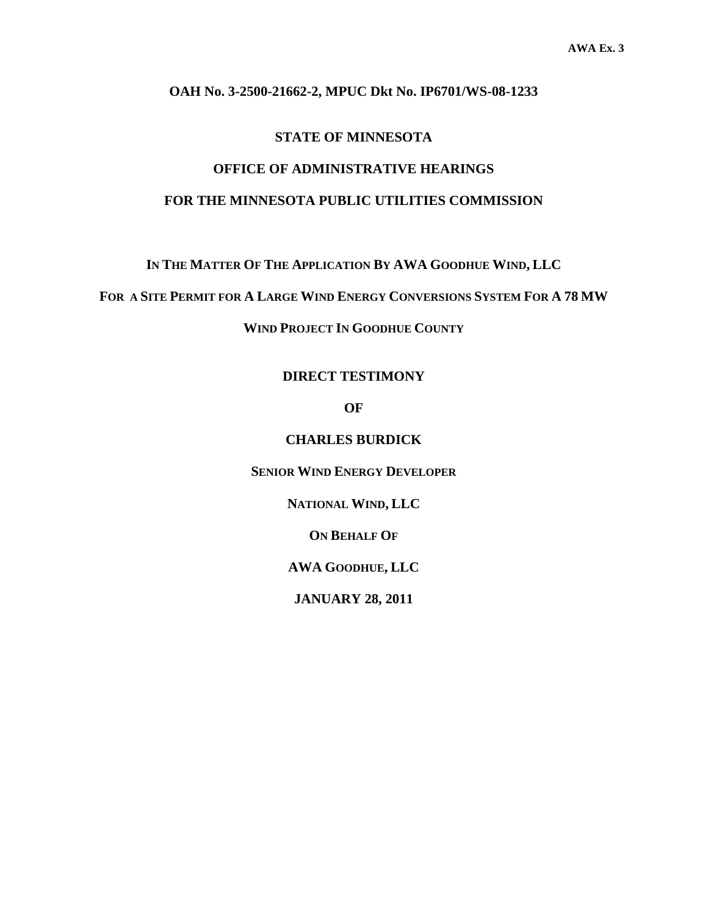#### **OAH No. 3-2500-21662-2, MPUC Dkt No. IP6701/WS-08-1233**

#### **STATE OF MINNESOTA**

### **OFFICE OF ADMINISTRATIVE HEARINGS FOR THE MINNESOTA PUBLIC UTILITIES COMMISSION**

**IN THE MATTER OF THE APPLICATION BY AWA GOODHUE WIND, LLC** 

**FOR A SITE PERMIT FOR A LARGE WIND ENERGY CONVERSIONS SYSTEM FOR A 78 MW**

**WIND PROJECT IN GOODHUE COUNTY** 

#### **DIRECT TESTIMONY**

**OF** 

**CHARLES BURDICK** 

**SENIOR WIND ENERGY DEVELOPER**

**NATIONAL WIND, LLC** 

**ON BEHALF OF**

**AWA GOODHUE, LLC** 

**JANUARY 28, 2011**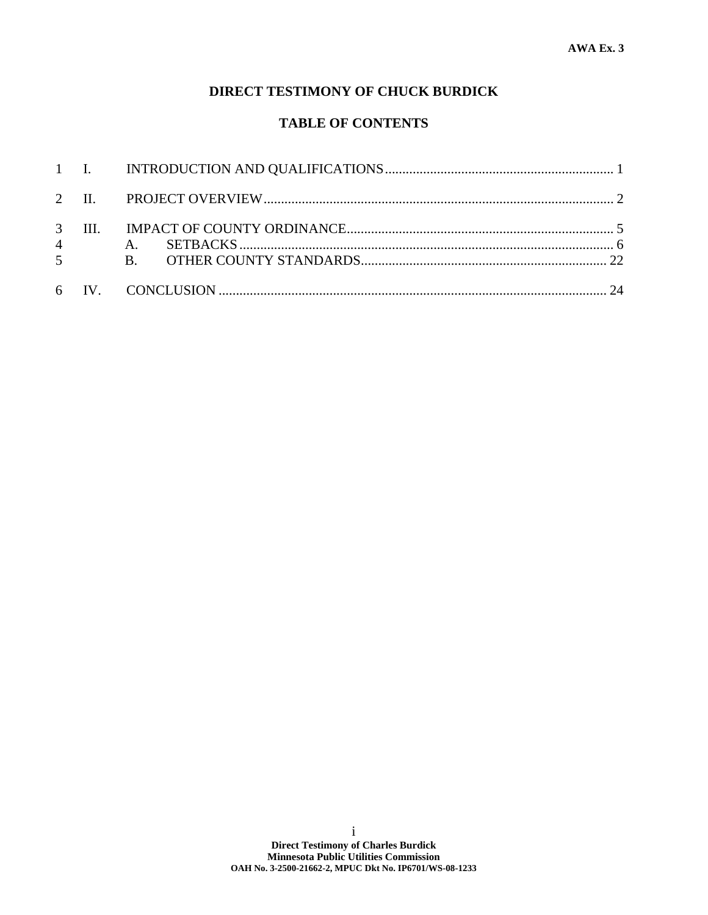### **DIRECT TESTIMONY OF CHUCK BURDICK**

### **TABLE OF CONTENTS**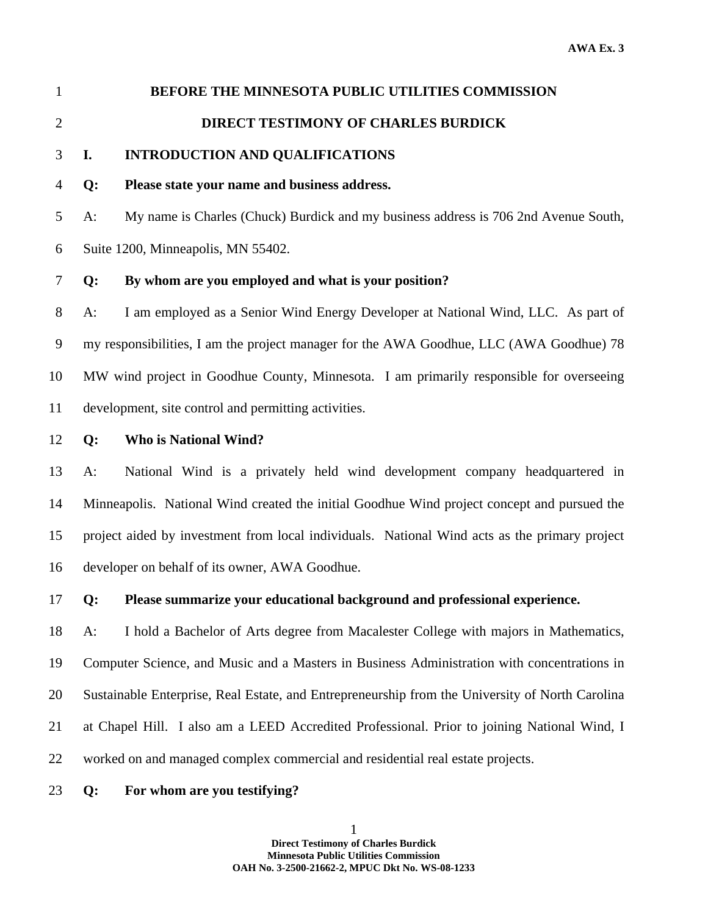1 **BEFORE THE MINNESOTA PUBLIC UTILITIES COMMISSION** 

# 2 **DIRECT TESTIMONY OF CHARLES BURDICK**

#### 3 **I. INTRODUCTION AND QUALIFICATIONS**

#### 4 **Q: Please state your name and business address.**

5 A: My name is Charles (Chuck) Burdick and my business address is 706 2nd Avenue South,

6 Suite 1200, Minneapolis, MN 55402.

#### 7 **Q: By whom are you employed and what is your position?**

8 A: I am employed as a Senior Wind Energy Developer at National Wind, LLC. As part of 9 my responsibilities, I am the project manager for the AWA Goodhue, LLC (AWA Goodhue) 78 10 MW wind project in Goodhue County, Minnesota. I am primarily responsible for overseeing 11 development, site control and permitting activities.

#### 12 **Q: Who is National Wind?**

13 A: National Wind is a privately held wind development company headquartered in 14 Minneapolis. National Wind created the initial Goodhue Wind project concept and pursued the 15 project aided by investment from local individuals. National Wind acts as the primary project 16 developer on behalf of its owner, AWA Goodhue.

#### 17 **Q: Please summarize your educational background and professional experience.**

18 A: I hold a Bachelor of Arts degree from Macalester College with majors in Mathematics, 19 Computer Science, and Music and a Masters in Business Administration with concentrations in 20 Sustainable Enterprise, Real Estate, and Entrepreneurship from the University of North Carolina 21 at Chapel Hill. I also am a LEED Accredited Professional. Prior to joining National Wind, I 22 worked on and managed complex commercial and residential real estate projects.

#### 23 **Q: For whom are you testifying?**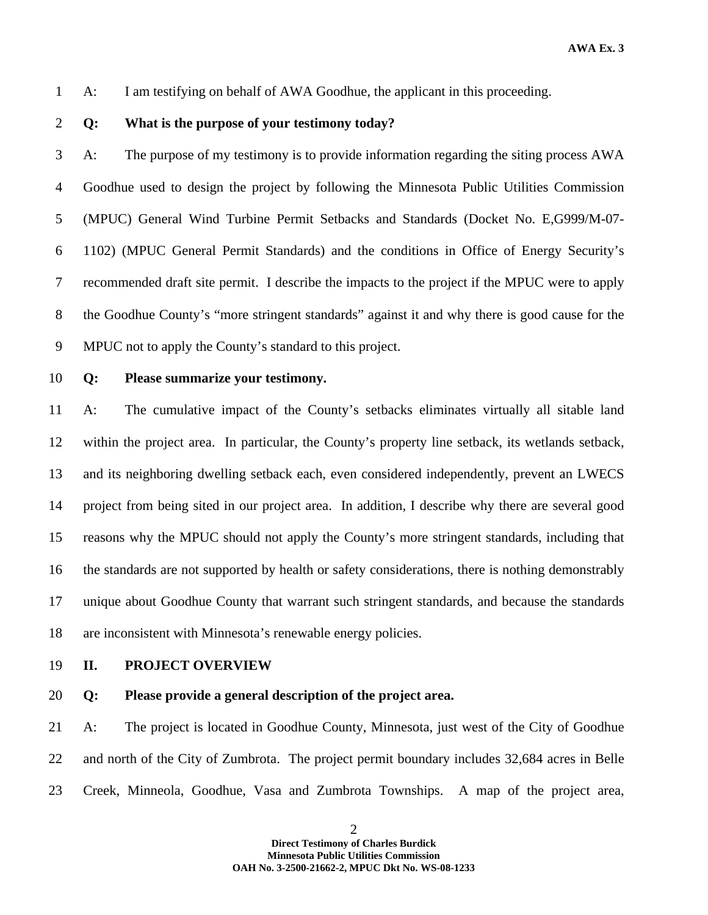1 A: I am testifying on behalf of AWA Goodhue, the applicant in this proceeding.

2 **Q: What is the purpose of your testimony today?** 

3 A: The purpose of my testimony is to provide information regarding the siting process AWA 4 Goodhue used to design the project by following the Minnesota Public Utilities Commission 5 (MPUC) General Wind Turbine Permit Setbacks and Standards (Docket No. E,G999/M-07- 6 1102) (MPUC General Permit Standards) and the conditions in Office of Energy Security's 7 recommended draft site permit. I describe the impacts to the project if the MPUC were to apply 8 the Goodhue County's "more stringent standards" against it and why there is good cause for the 9 MPUC not to apply the County's standard to this project.

10 **Q: Please summarize your testimony.** 

11 A: The cumulative impact of the County's setbacks eliminates virtually all sitable land 12 within the project area. In particular, the County's property line setback, its wetlands setback, 13 and its neighboring dwelling setback each, even considered independently, prevent an LWECS 14 project from being sited in our project area. In addition, I describe why there are several good 15 reasons why the MPUC should not apply the County's more stringent standards, including that 16 the standards are not supported by health or safety considerations, there is nothing demonstrably 17 unique about Goodhue County that warrant such stringent standards, and because the standards 18 are inconsistent with Minnesota's renewable energy policies.

- 19 **II. PROJECT OVERVIEW**
- 20 **Q: Please provide a general description of the project area.**

21 A: The project is located in Goodhue County, Minnesota, just west of the City of Goodhue 22 and north of the City of Zumbrota. The project permit boundary includes 32,684 acres in Belle 23 Creek, Minneola, Goodhue, Vasa and Zumbrota Townships. A map of the project area,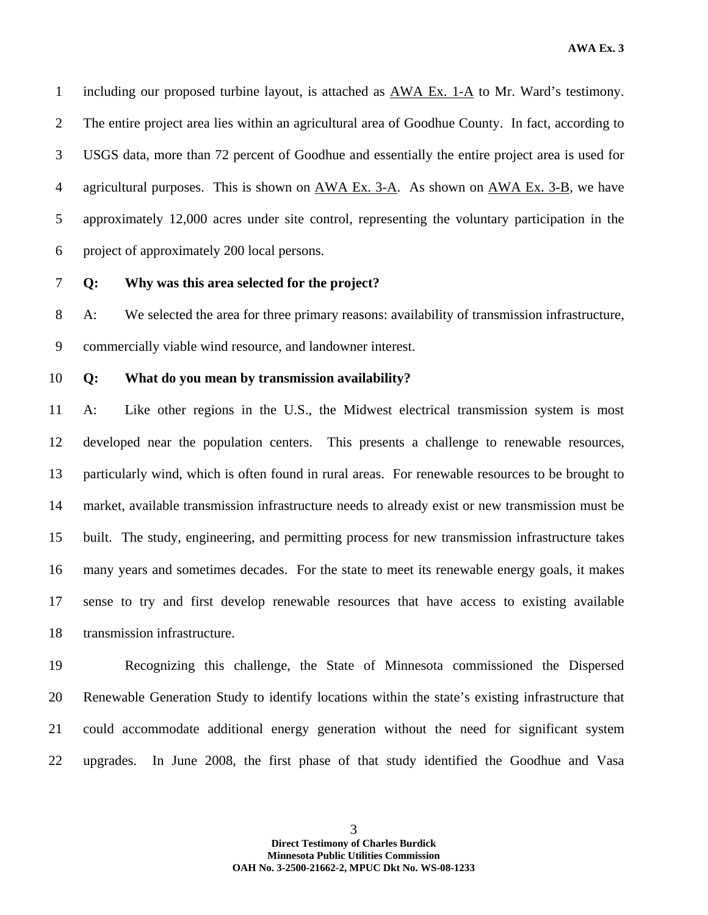1 including our proposed turbine layout, is attached as AWA Ex. 1-A to Mr. Ward's testimony. 2 The entire project area lies within an agricultural area of Goodhue County. In fact, according to 3 USGS data, more than 72 percent of Goodhue and essentially the entire project area is used for 4 agricultural purposes. This is shown on AWA Ex. 3-A. As shown on AWA Ex. 3-B, we have 5 approximately 12,000 acres under site control, representing the voluntary participation in the 6 project of approximately 200 local persons.

#### 7 **Q: Why was this area selected for the project?**

8 A: We selected the area for three primary reasons: availability of transmission infrastructure, 9 commercially viable wind resource, and landowner interest.

10 **Q: What do you mean by transmission availability?** 

11 A: Like other regions in the U.S., the Midwest electrical transmission system is most 12 developed near the population centers. This presents a challenge to renewable resources, 13 particularly wind, which is often found in rural areas. For renewable resources to be brought to 14 market, available transmission infrastructure needs to already exist or new transmission must be 15 built. The study, engineering, and permitting process for new transmission infrastructure takes 16 many years and sometimes decades. For the state to meet its renewable energy goals, it makes 17 sense to try and first develop renewable resources that have access to existing available 18 transmission infrastructure.

19 Recognizing this challenge, the State of Minnesota commissioned the Dispersed 20 Renewable Generation Study to identify locations within the state's existing infrastructure that 21 could accommodate additional energy generation without the need for significant system 22 upgrades. In June 2008, the first phase of that study identified the Goodhue and Vasa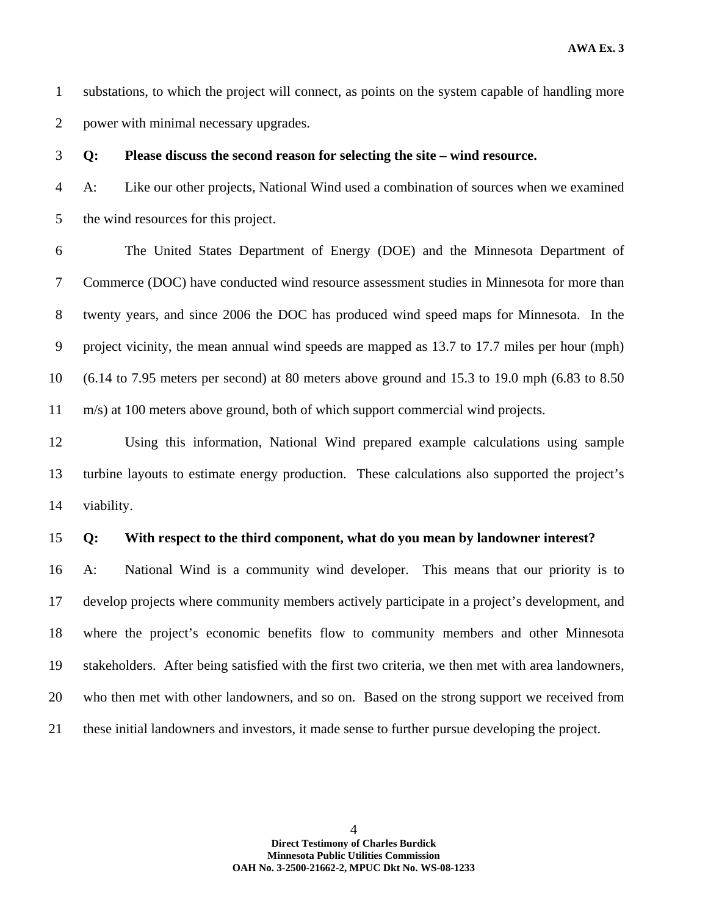1 substations, to which the project will connect, as points on the system capable of handling more 2 power with minimal necessary upgrades.

3 **Q: Please discuss the second reason for selecting the site – wind resource.** 

4 A: Like our other projects, National Wind used a combination of sources when we examined 5 the wind resources for this project.

6 The United States Department of Energy (DOE) and the Minnesota Department of 7 Commerce (DOC) have conducted wind resource assessment studies in Minnesota for more than 8 twenty years, and since 2006 the DOC has produced wind speed maps for Minnesota. In the 9 project vicinity, the mean annual wind speeds are mapped as 13.7 to 17.7 miles per hour (mph) 10 (6.14 to 7.95 meters per second) at 80 meters above ground and 15.3 to 19.0 mph (6.83 to 8.50 11 m/s) at 100 meters above ground, both of which support commercial wind projects.

12 Using this information, National Wind prepared example calculations using sample 13 turbine layouts to estimate energy production. These calculations also supported the project's 14 viability.

#### 15 **Q: With respect to the third component, what do you mean by landowner interest?**

16 A: National Wind is a community wind developer. This means that our priority is to 17 develop projects where community members actively participate in a project's development, and 18 where the project's economic benefits flow to community members and other Minnesota 19 stakeholders. After being satisfied with the first two criteria, we then met with area landowners, 20 who then met with other landowners, and so on. Based on the strong support we received from 21 these initial landowners and investors, it made sense to further pursue developing the project.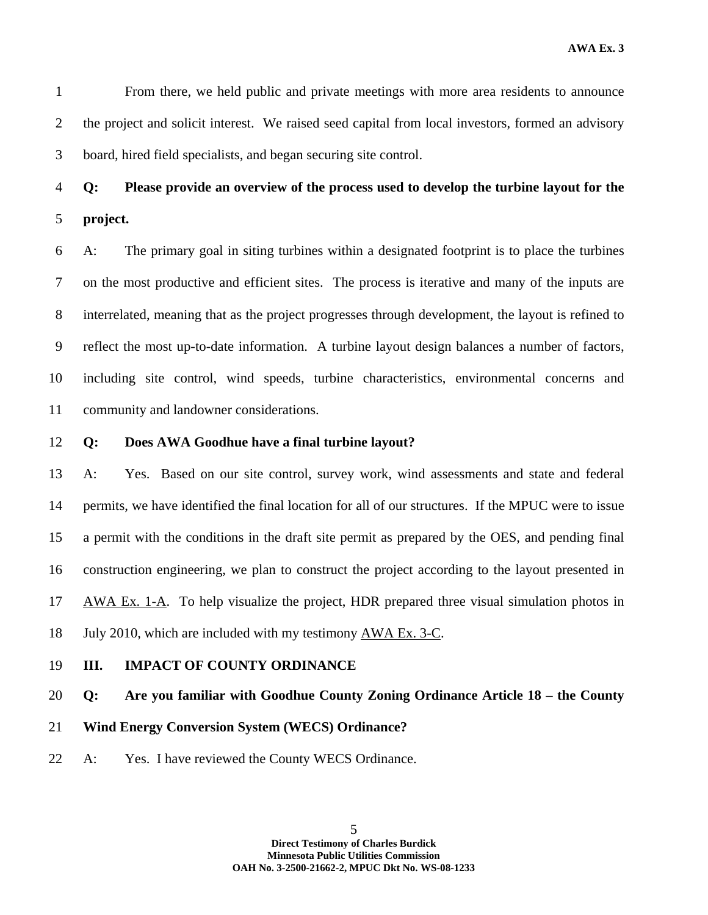1 From there, we held public and private meetings with more area residents to announce 2 the project and solicit interest. We raised seed capital from local investors, formed an advisory 3 board, hired field specialists, and began securing site control.

4 **Q: Please provide an overview of the process used to develop the turbine layout for the**  5 **project.** 

6 A: The primary goal in siting turbines within a designated footprint is to place the turbines 7 on the most productive and efficient sites. The process is iterative and many of the inputs are 8 interrelated, meaning that as the project progresses through development, the layout is refined to 9 reflect the most up-to-date information. A turbine layout design balances a number of factors, 10 including site control, wind speeds, turbine characteristics, environmental concerns and 11 community and landowner considerations.

#### 12 **Q: Does AWA Goodhue have a final turbine layout?**

13 A: Yes. Based on our site control, survey work, wind assessments and state and federal 14 permits, we have identified the final location for all of our structures. If the MPUC were to issue 15 a permit with the conditions in the draft site permit as prepared by the OES, and pending final 16 construction engineering, we plan to construct the project according to the layout presented in 17 AWA Ex. 1-A. To help visualize the project, HDR prepared three visual simulation photos in 18 July 2010, which are included with my testimony AWA Ex. 3-C.

19 **III. IMPACT OF COUNTY ORDINANCE** 

#### 20 **Q: Are you familiar with Goodhue County Zoning Ordinance Article 18 – the County**

#### 21 **Wind Energy Conversion System (WECS) Ordinance?**

22 A: Yes. I have reviewed the County WECS Ordinance.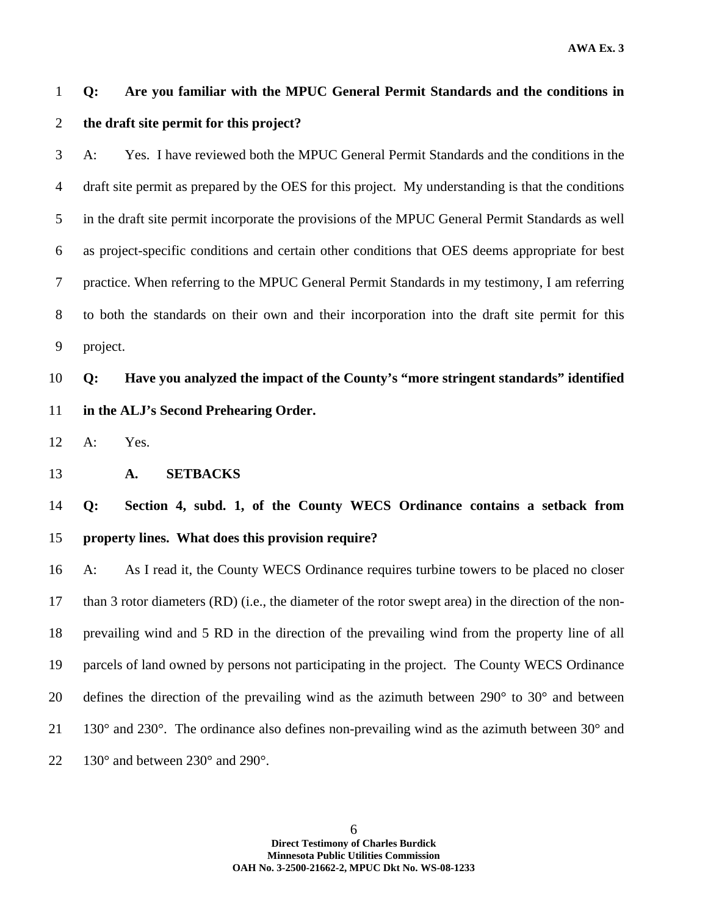### 1 **Q: Are you familiar with the MPUC General Permit Standards and the conditions in**  2 **the draft site permit for this project?**

3 A: Yes. I have reviewed both the MPUC General Permit Standards and the conditions in the 4 draft site permit as prepared by the OES for this project. My understanding is that the conditions 5 in the draft site permit incorporate the provisions of the MPUC General Permit Standards as well 6 as project-specific conditions and certain other conditions that OES deems appropriate for best 7 practice. When referring to the MPUC General Permit Standards in my testimony, I am referring 8 to both the standards on their own and their incorporation into the draft site permit for this 9 project.

10 **Q: Have you analyzed the impact of the County's "more stringent standards" identified**  11 **in the ALJ's Second Prehearing Order.** 

12 A: Yes.

13 **A. SETBACKS** 

14 **Q: Section 4, subd. 1, of the County WECS Ordinance contains a setback from**  15 **property lines. What does this provision require?** 

16 A: As I read it, the County WECS Ordinance requires turbine towers to be placed no closer 17 than 3 rotor diameters (RD) (i.e., the diameter of the rotor swept area) in the direction of the non-18 prevailing wind and 5 RD in the direction of the prevailing wind from the property line of all 19 parcels of land owned by persons not participating in the project. The County WECS Ordinance 20 defines the direction of the prevailing wind as the azimuth between 290° to 30° and between 21 130° and 230°. The ordinance also defines non-prevailing wind as the azimuth between 30° and 22 130° and between 230° and 290°.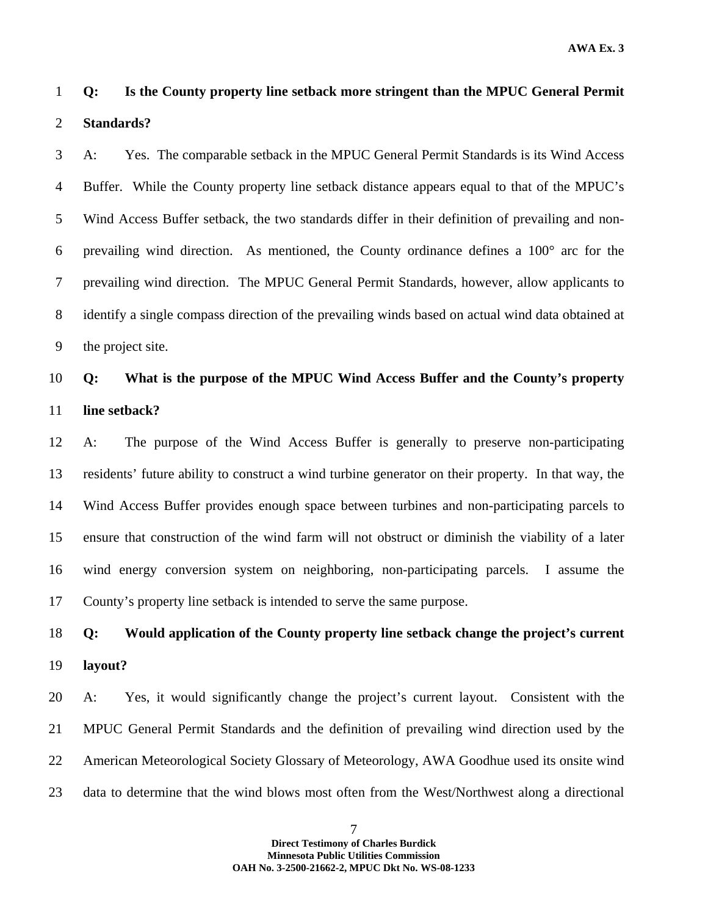### 1 **Q: Is the County property line setback more stringent than the MPUC General Permit**  2 **Standards?**

3 A: Yes. The comparable setback in the MPUC General Permit Standards is its Wind Access 4 Buffer. While the County property line setback distance appears equal to that of the MPUC's 5 Wind Access Buffer setback, the two standards differ in their definition of prevailing and non-6 prevailing wind direction. As mentioned, the County ordinance defines a 100° arc for the 7 prevailing wind direction. The MPUC General Permit Standards, however, allow applicants to 8 identify a single compass direction of the prevailing winds based on actual wind data obtained at 9 the project site.

### 10 **Q: What is the purpose of the MPUC Wind Access Buffer and the County's property**  11 **line setback?**

12 A: The purpose of the Wind Access Buffer is generally to preserve non-participating 13 residents' future ability to construct a wind turbine generator on their property. In that way, the 14 Wind Access Buffer provides enough space between turbines and non-participating parcels to 15 ensure that construction of the wind farm will not obstruct or diminish the viability of a later 16 wind energy conversion system on neighboring, non-participating parcels. I assume the 17 County's property line setback is intended to serve the same purpose.

### 18 **Q: Would application of the County property line setback change the project's current**  19 **layout?**

20 A: Yes, it would significantly change the project's current layout. Consistent with the 21 MPUC General Permit Standards and the definition of prevailing wind direction used by the 22 American Meteorological Society Glossary of Meteorology, AWA Goodhue used its onsite wind 23 data to determine that the wind blows most often from the West/Northwest along a directional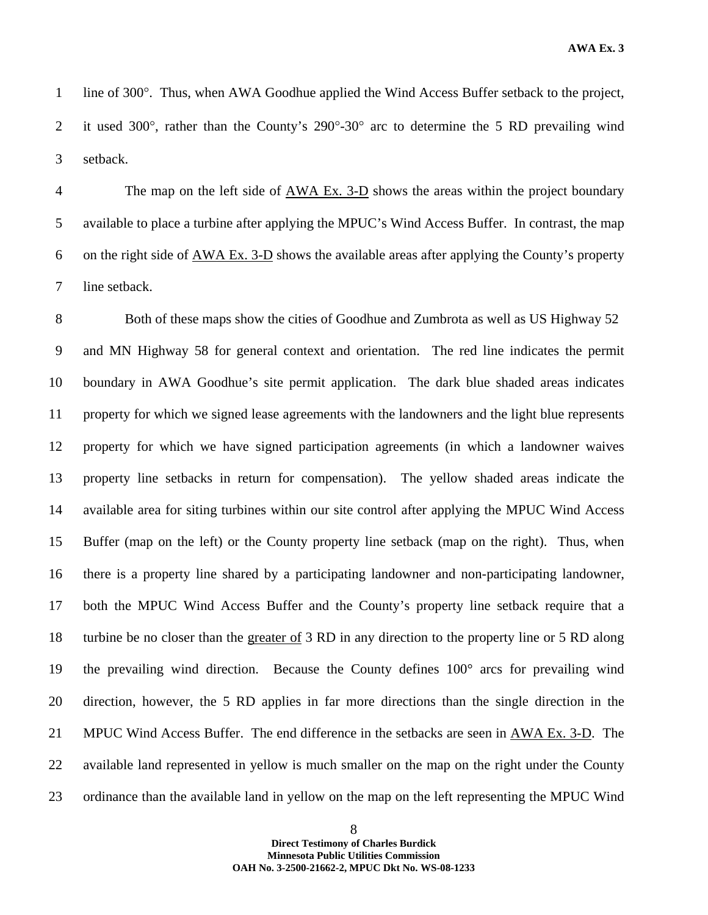1 line of 300°. Thus, when AWA Goodhue applied the Wind Access Buffer setback to the project, 2 it used 300°, rather than the County's 290°-30° arc to determine the 5 RD prevailing wind 3 setback.

4 The map on the left side of AWA Ex. 3-D shows the areas within the project boundary 5 available to place a turbine after applying the MPUC's Wind Access Buffer. In contrast, the map 6 on the right side of AWA Ex. 3-D shows the available areas after applying the County's property 7 line setback.

8 Both of these maps show the cities of Goodhue and Zumbrota as well as US Highway 52 9 and MN Highway 58 for general context and orientation. The red line indicates the permit 10 boundary in AWA Goodhue's site permit application. The dark blue shaded areas indicates 11 property for which we signed lease agreements with the landowners and the light blue represents 12 property for which we have signed participation agreements (in which a landowner waives 13 property line setbacks in return for compensation). The yellow shaded areas indicate the 14 available area for siting turbines within our site control after applying the MPUC Wind Access 15 Buffer (map on the left) or the County property line setback (map on the right). Thus, when 16 there is a property line shared by a participating landowner and non-participating landowner, 17 both the MPUC Wind Access Buffer and the County's property line setback require that a 18 turbine be no closer than the greater of 3 RD in any direction to the property line or 5 RD along 19 the prevailing wind direction. Because the County defines 100° arcs for prevailing wind 20 direction, however, the 5 RD applies in far more directions than the single direction in the 21 MPUC Wind Access Buffer. The end difference in the setbacks are seen in AWA Ex. 3-D. The 22 available land represented in yellow is much smaller on the map on the right under the County 23 ordinance than the available land in yellow on the map on the left representing the MPUC Wind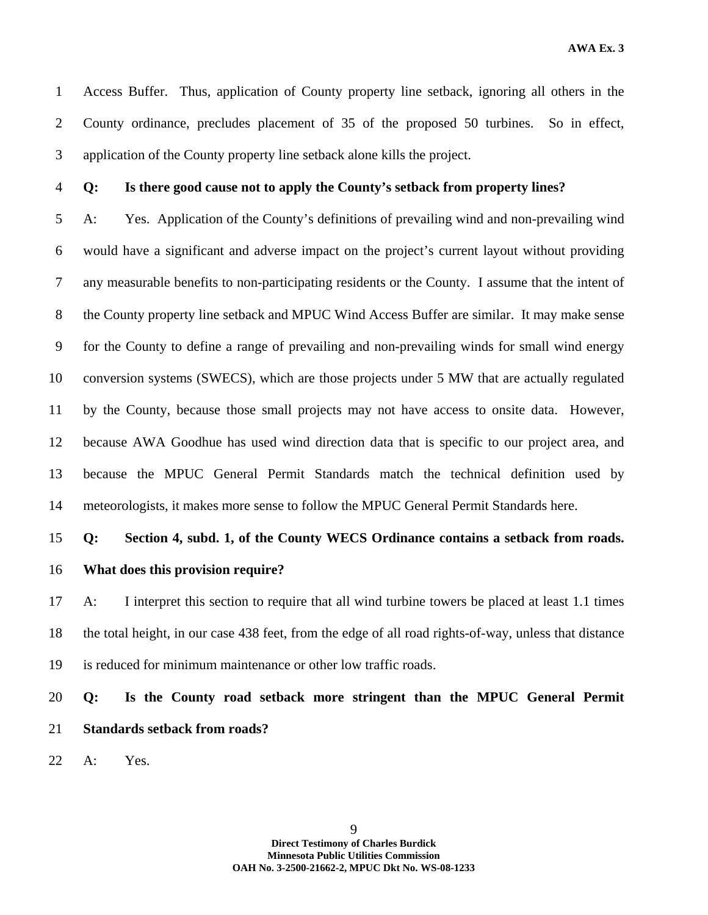1 Access Buffer. Thus, application of County property line setback, ignoring all others in the 2 County ordinance, precludes placement of 35 of the proposed 50 turbines. So in effect, 3 application of the County property line setback alone kills the project.

#### 4 **Q: Is there good cause not to apply the County's setback from property lines?**

5 A: Yes. Application of the County's definitions of prevailing wind and non-prevailing wind 6 would have a significant and adverse impact on the project's current layout without providing 7 any measurable benefits to non-participating residents or the County. I assume that the intent of 8 the County property line setback and MPUC Wind Access Buffer are similar. It may make sense 9 for the County to define a range of prevailing and non-prevailing winds for small wind energy 10 conversion systems (SWECS), which are those projects under 5 MW that are actually regulated 11 by the County, because those small projects may not have access to onsite data. However, 12 because AWA Goodhue has used wind direction data that is specific to our project area, and 13 because the MPUC General Permit Standards match the technical definition used by 14 meteorologists, it makes more sense to follow the MPUC General Permit Standards here.

#### 15 **Q: Section 4, subd. 1, of the County WECS Ordinance contains a setback from roads.**

16 **What does this provision require?** 

17 A: I interpret this section to require that all wind turbine towers be placed at least 1.1 times 18 the total height, in our case 438 feet, from the edge of all road rights-of-way, unless that distance 19 is reduced for minimum maintenance or other low traffic roads.

20 **Q: Is the County road setback more stringent than the MPUC General Permit**  21 **Standards setback from roads?** 

22 A: Yes.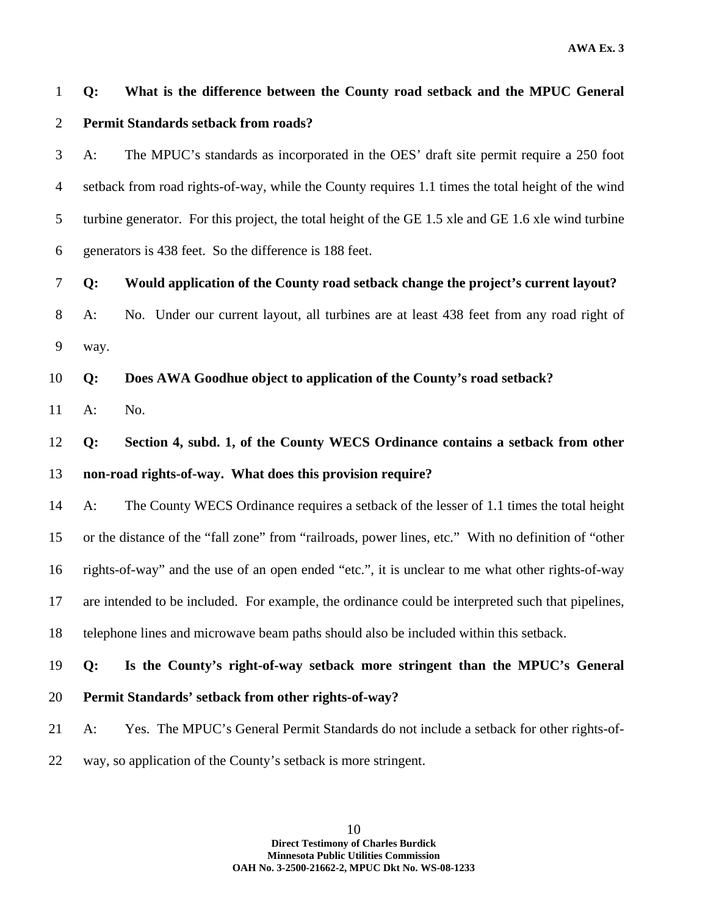1 **Q: What is the difference between the County road setback and the MPUC General**  2 **Permit Standards setback from roads?** 

3 A: The MPUC's standards as incorporated in the OES' draft site permit require a 250 foot 4 setback from road rights-of-way, while the County requires 1.1 times the total height of the wind 5 turbine generator. For this project, the total height of the GE 1.5 xle and GE 1.6 xle wind turbine 6 generators is 438 feet. So the difference is 188 feet.

7 **Q: Would application of the County road setback change the project's current layout?** 

8 A: No. Under our current layout, all turbines are at least 438 feet from any road right of 9 way.

10 **Q: Does AWA Goodhue object to application of the County's road setback?** 

11 A: No.

12 **Q: Section 4, subd. 1, of the County WECS Ordinance contains a setback from other**  13 **non-road rights-of-way. What does this provision require?** 

14 A: The County WECS Ordinance requires a setback of the lesser of 1.1 times the total height 15 or the distance of the "fall zone" from "railroads, power lines, etc." With no definition of "other 16 rights-of-way" and the use of an open ended "etc.", it is unclear to me what other rights-of-way 17 are intended to be included. For example, the ordinance could be interpreted such that pipelines, 18 telephone lines and microwave beam paths should also be included within this setback.

19 **Q: Is the County's right-of-way setback more stringent than the MPUC's General** 

- 20 **Permit Standards' setback from other rights-of-way?**
- 21 A: Yes. The MPUC's General Permit Standards do not include a setback for other rights-of-
- 22 way, so application of the County's setback is more stringent.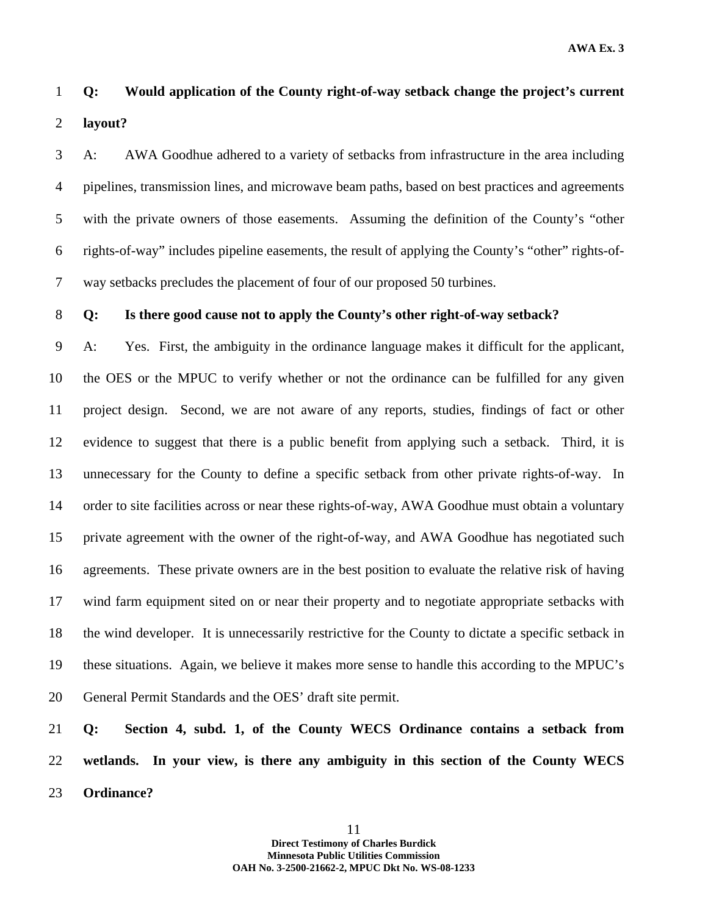### 1 **Q: Would application of the County right-of-way setback change the project's current**  2 **layout?**

3 A: AWA Goodhue adhered to a variety of setbacks from infrastructure in the area including 4 pipelines, transmission lines, and microwave beam paths, based on best practices and agreements 5 with the private owners of those easements. Assuming the definition of the County's "other 6 rights-of-way" includes pipeline easements, the result of applying the County's "other" rights-of-7 way setbacks precludes the placement of four of our proposed 50 turbines.

#### 8 **Q: Is there good cause not to apply the County's other right-of-way setback?**

9 A: Yes. First, the ambiguity in the ordinance language makes it difficult for the applicant, 10 the OES or the MPUC to verify whether or not the ordinance can be fulfilled for any given 11 project design. Second, we are not aware of any reports, studies, findings of fact or other 12 evidence to suggest that there is a public benefit from applying such a setback. Third, it is 13 unnecessary for the County to define a specific setback from other private rights-of-way. In 14 order to site facilities across or near these rights-of-way, AWA Goodhue must obtain a voluntary 15 private agreement with the owner of the right-of-way, and AWA Goodhue has negotiated such 16 agreements. These private owners are in the best position to evaluate the relative risk of having 17 wind farm equipment sited on or near their property and to negotiate appropriate setbacks with 18 the wind developer. It is unnecessarily restrictive for the County to dictate a specific setback in 19 these situations. Again, we believe it makes more sense to handle this according to the MPUC's 20 General Permit Standards and the OES' draft site permit.

21 **Q: Section 4, subd. 1, of the County WECS Ordinance contains a setback from**  22 **wetlands. In your view, is there any ambiguity in this section of the County WECS**  23 **Ordinance?**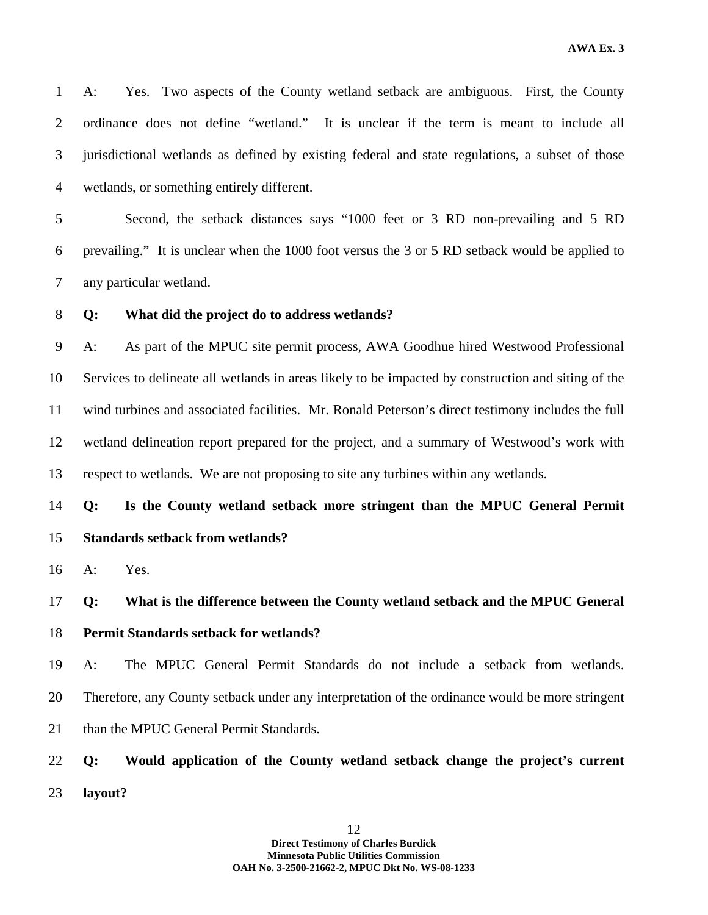1 A: Yes. Two aspects of the County wetland setback are ambiguous. First, the County 2 ordinance does not define "wetland." It is unclear if the term is meant to include all 3 jurisdictional wetlands as defined by existing federal and state regulations, a subset of those 4 wetlands, or something entirely different.

5 Second, the setback distances says "1000 feet or 3 RD non-prevailing and 5 RD 6 prevailing." It is unclear when the 1000 foot versus the 3 or 5 RD setback would be applied to 7 any particular wetland.

#### 8 **Q: What did the project do to address wetlands?**

9 A: As part of the MPUC site permit process, AWA Goodhue hired Westwood Professional 10 Services to delineate all wetlands in areas likely to be impacted by construction and siting of the 11 wind turbines and associated facilities. Mr. Ronald Peterson's direct testimony includes the full 12 wetland delineation report prepared for the project, and a summary of Westwood's work with 13 respect to wetlands. We are not proposing to site any turbines within any wetlands.

14 **Q: Is the County wetland setback more stringent than the MPUC General Permit**  15 **Standards setback from wetlands?** 

16 A: Yes.

### 17 **Q: What is the difference between the County wetland setback and the MPUC General**  18 **Permit Standards setback for wetlands?**

19 A: The MPUC General Permit Standards do not include a setback from wetlands. 20 Therefore, any County setback under any interpretation of the ordinance would be more stringent 21 than the MPUC General Permit Standards.

22 **Q: Would application of the County wetland setback change the project's current**  23 **layout?**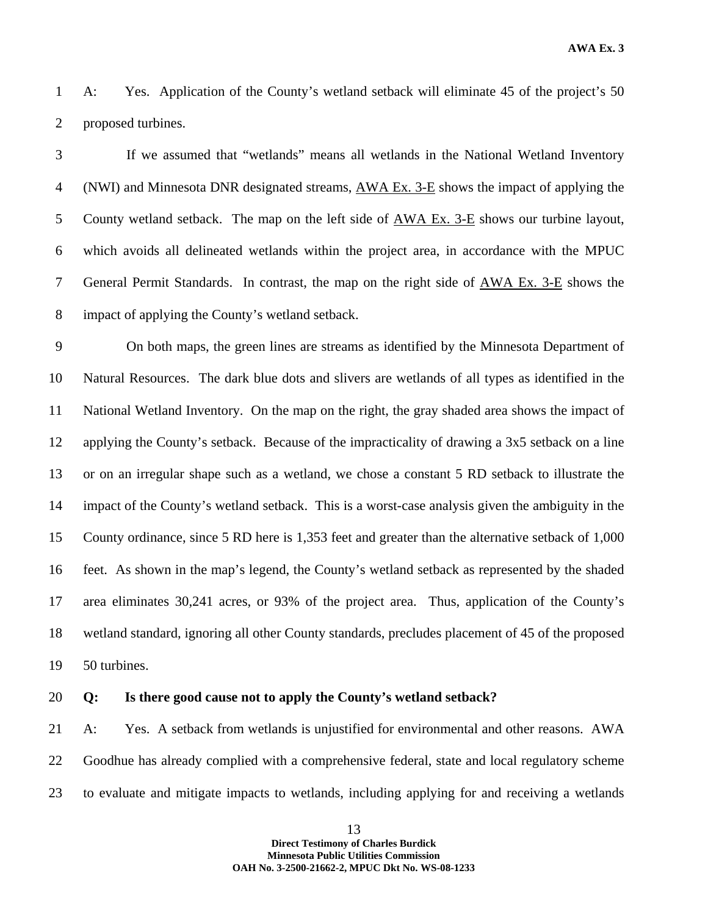**AWA Ex. 3** 

1 A: Yes. Application of the County's wetland setback will eliminate 45 of the project's 50 2 proposed turbines.

3 If we assumed that "wetlands" means all wetlands in the National Wetland Inventory 4 (NWI) and Minnesota DNR designated streams, AWA Ex. 3-E shows the impact of applying the 5 County wetland setback. The map on the left side of AWA Ex. 3-E shows our turbine layout, 6 which avoids all delineated wetlands within the project area, in accordance with the MPUC 7 General Permit Standards. In contrast, the map on the right side of AWA Ex. 3-E shows the 8 impact of applying the County's wetland setback.

9 On both maps, the green lines are streams as identified by the Minnesota Department of 10 Natural Resources. The dark blue dots and slivers are wetlands of all types as identified in the 11 National Wetland Inventory. On the map on the right, the gray shaded area shows the impact of 12 applying the County's setback. Because of the impracticality of drawing a 3x5 setback on a line 13 or on an irregular shape such as a wetland, we chose a constant 5 RD setback to illustrate the 14 impact of the County's wetland setback. This is a worst-case analysis given the ambiguity in the 15 County ordinance, since 5 RD here is 1,353 feet and greater than the alternative setback of 1,000 16 feet. As shown in the map's legend, the County's wetland setback as represented by the shaded 17 area eliminates 30,241 acres, or 93% of the project area. Thus, application of the County's 18 wetland standard, ignoring all other County standards, precludes placement of 45 of the proposed 19 50 turbines.

#### 20 **Q: Is there good cause not to apply the County's wetland setback?**

21 A: Yes. A setback from wetlands is unjustified for environmental and other reasons. AWA 22 Goodhue has already complied with a comprehensive federal, state and local regulatory scheme 23 to evaluate and mitigate impacts to wetlands, including applying for and receiving a wetlands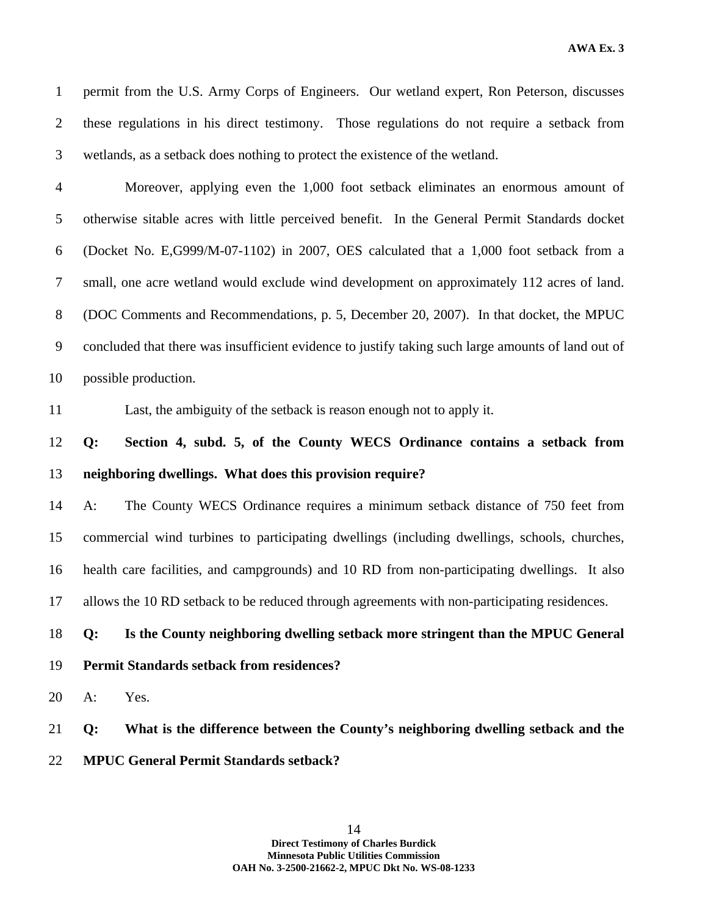1 permit from the U.S. Army Corps of Engineers. Our wetland expert, Ron Peterson, discusses 2 these regulations in his direct testimony. Those regulations do not require a setback from 3 wetlands, as a setback does nothing to protect the existence of the wetland.

4 Moreover, applying even the 1,000 foot setback eliminates an enormous amount of 5 otherwise sitable acres with little perceived benefit. In the General Permit Standards docket 6 (Docket No. E,G999/M-07-1102) in 2007, OES calculated that a 1,000 foot setback from a 7 small, one acre wetland would exclude wind development on approximately 112 acres of land. 8 (DOC Comments and Recommendations, p. 5, December 20, 2007). In that docket, the MPUC 9 concluded that there was insufficient evidence to justify taking such large amounts of land out of 10 possible production.

11 Last, the ambiguity of the setback is reason enough not to apply it.

### 12 **Q: Section 4, subd. 5, of the County WECS Ordinance contains a setback from**  13 **neighboring dwellings. What does this provision require?**

14 A: The County WECS Ordinance requires a minimum setback distance of 750 feet from 15 commercial wind turbines to participating dwellings (including dwellings, schools, churches, 16 health care facilities, and campgrounds) and 10 RD from non-participating dwellings. It also 17 allows the 10 RD setback to be reduced through agreements with non-participating residences.

### 18 **Q: Is the County neighboring dwelling setback more stringent than the MPUC General**

#### 19 **Permit Standards setback from residences?**

20 A: Yes.

21 **Q: What is the difference between the County's neighboring dwelling setback and the** 

22 **MPUC General Permit Standards setback?**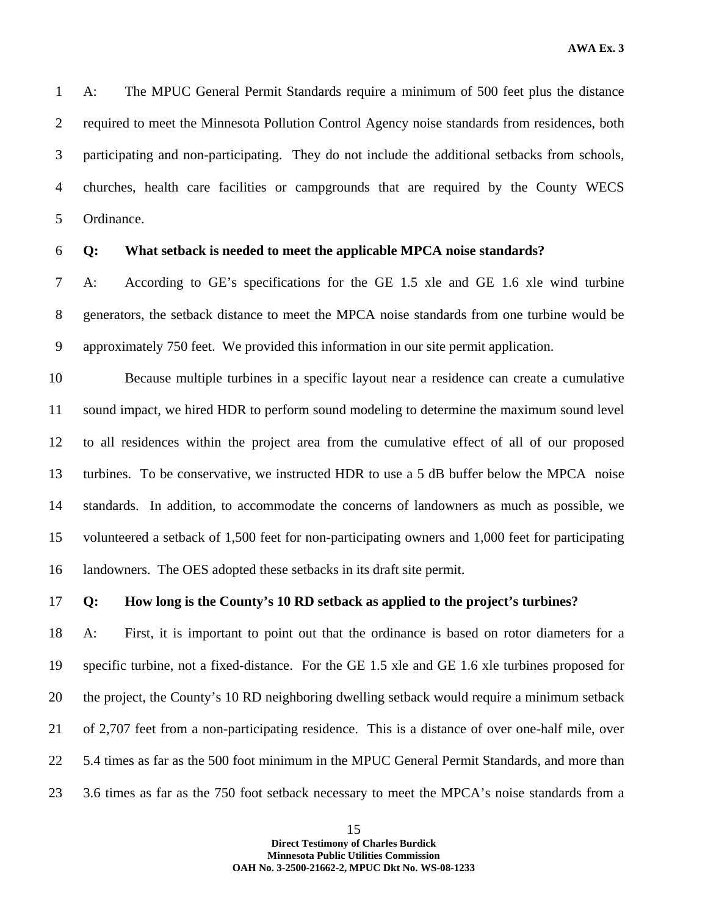1 A: The MPUC General Permit Standards require a minimum of 500 feet plus the distance 2 required to meet the Minnesota Pollution Control Agency noise standards from residences, both 3 participating and non-participating. They do not include the additional setbacks from schools, 4 churches, health care facilities or campgrounds that are required by the County WECS 5 Ordinance.

#### 6 **Q: What setback is needed to meet the applicable MPCA noise standards?**

7 A: According to GE's specifications for the GE 1.5 xle and GE 1.6 xle wind turbine 8 generators, the setback distance to meet the MPCA noise standards from one turbine would be 9 approximately 750 feet. We provided this information in our site permit application.

10 Because multiple turbines in a specific layout near a residence can create a cumulative 11 sound impact, we hired HDR to perform sound modeling to determine the maximum sound level 12 to all residences within the project area from the cumulative effect of all of our proposed 13 turbines. To be conservative, we instructed HDR to use a 5 dB buffer below the MPCA noise 14 standards. In addition, to accommodate the concerns of landowners as much as possible, we 15 volunteered a setback of 1,500 feet for non-participating owners and 1,000 feet for participating 16 landowners. The OES adopted these setbacks in its draft site permit.

#### 17 **Q: How long is the County's 10 RD setback as applied to the project's turbines?**

18 A: First, it is important to point out that the ordinance is based on rotor diameters for a 19 specific turbine, not a fixed-distance. For the GE 1.5 xle and GE 1.6 xle turbines proposed for 20 the project, the County's 10 RD neighboring dwelling setback would require a minimum setback 21 of 2,707 feet from a non-participating residence. This is a distance of over one-half mile, over 22 5.4 times as far as the 500 foot minimum in the MPUC General Permit Standards, and more than 23 3.6 times as far as the 750 foot setback necessary to meet the MPCA's noise standards from a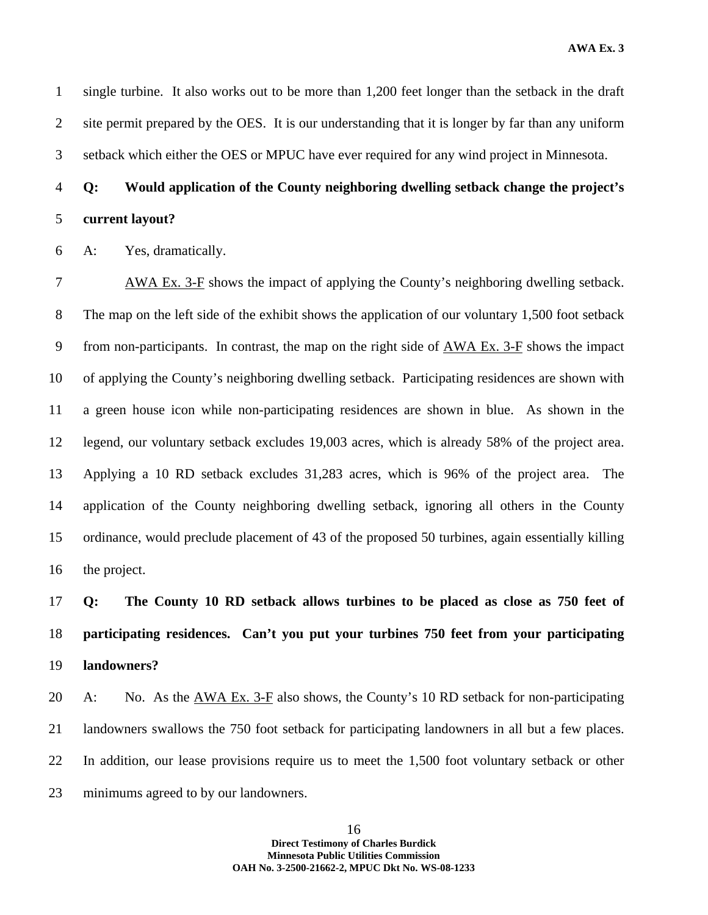**AWA Ex. 3** 

1 single turbine. It also works out to be more than 1,200 feet longer than the setback in the draft 2 site permit prepared by the OES. It is our understanding that it is longer by far than any uniform 3 setback which either the OES or MPUC have ever required for any wind project in Minnesota.

### 4 **Q: Would application of the County neighboring dwelling setback change the project's**  5 **current layout?**

6 A: Yes, dramatically.

7 AWA Ex. 3-F shows the impact of applying the County's neighboring dwelling setback. 8 The map on the left side of the exhibit shows the application of our voluntary 1,500 foot setback 9 from non-participants. In contrast, the map on the right side of AWA Ex. 3-F shows the impact 10 of applying the County's neighboring dwelling setback. Participating residences are shown with 11 a green house icon while non-participating residences are shown in blue. As shown in the 12 legend, our voluntary setback excludes 19,003 acres, which is already 58% of the project area. 13 Applying a 10 RD setback excludes 31,283 acres, which is 96% of the project area. The 14 application of the County neighboring dwelling setback, ignoring all others in the County 15 ordinance, would preclude placement of 43 of the proposed 50 turbines, again essentially killing 16 the project.

## 17 **Q: The County 10 RD setback allows turbines to be placed as close as 750 feet of**  18 **participating residences. Can't you put your turbines 750 feet from your participating**  19 **landowners?**

20 A: No. As the AWA Ex. 3-F also shows, the County's 10 RD setback for non-participating 21 landowners swallows the 750 foot setback for participating landowners in all but a few places. 22 In addition, our lease provisions require us to meet the 1,500 foot voluntary setback or other 23 minimums agreed to by our landowners.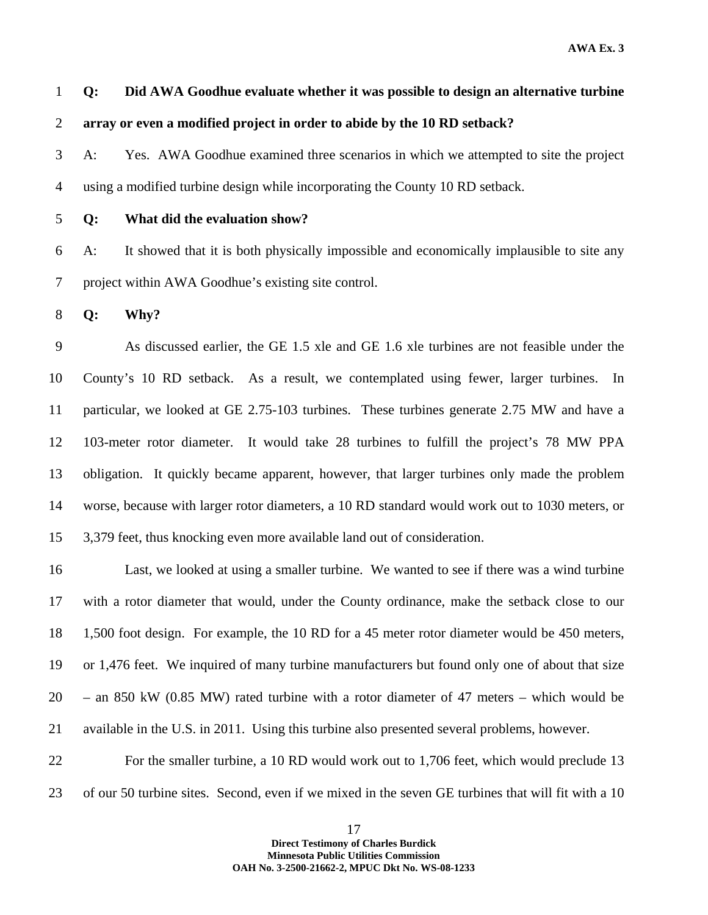**AWA Ex. 3** 

1 **Q: Did AWA Goodhue evaluate whether it was possible to design an alternative turbine**  2 **array or even a modified project in order to abide by the 10 RD setback?** 

3 A: Yes. AWA Goodhue examined three scenarios in which we attempted to site the project 4 using a modified turbine design while incorporating the County 10 RD setback.

#### 5 **Q: What did the evaluation show?**

6 A: It showed that it is both physically impossible and economically implausible to site any 7 project within AWA Goodhue's existing site control.

8 **Q: Why?** 

9 As discussed earlier, the GE 1.5 xle and GE 1.6 xle turbines are not feasible under the 10 County's 10 RD setback. As a result, we contemplated using fewer, larger turbines. In 11 particular, we looked at GE 2.75-103 turbines. These turbines generate 2.75 MW and have a 12 103-meter rotor diameter. It would take 28 turbines to fulfill the project's 78 MW PPA 13 obligation. It quickly became apparent, however, that larger turbines only made the problem 14 worse, because with larger rotor diameters, a 10 RD standard would work out to 1030 meters, or 15 3,379 feet, thus knocking even more available land out of consideration.

16 Last, we looked at using a smaller turbine. We wanted to see if there was a wind turbine 17 with a rotor diameter that would, under the County ordinance, make the setback close to our 18 1,500 foot design. For example, the 10 RD for a 45 meter rotor diameter would be 450 meters, 19 or 1,476 feet. We inquired of many turbine manufacturers but found only one of about that size 20 – an 850 kW (0.85 MW) rated turbine with a rotor diameter of 47 meters – which would be 21 available in the U.S. in 2011. Using this turbine also presented several problems, however.

22 For the smaller turbine, a 10 RD would work out to 1,706 feet, which would preclude 13 23 of our 50 turbine sites. Second, even if we mixed in the seven GE turbines that will fit with a 10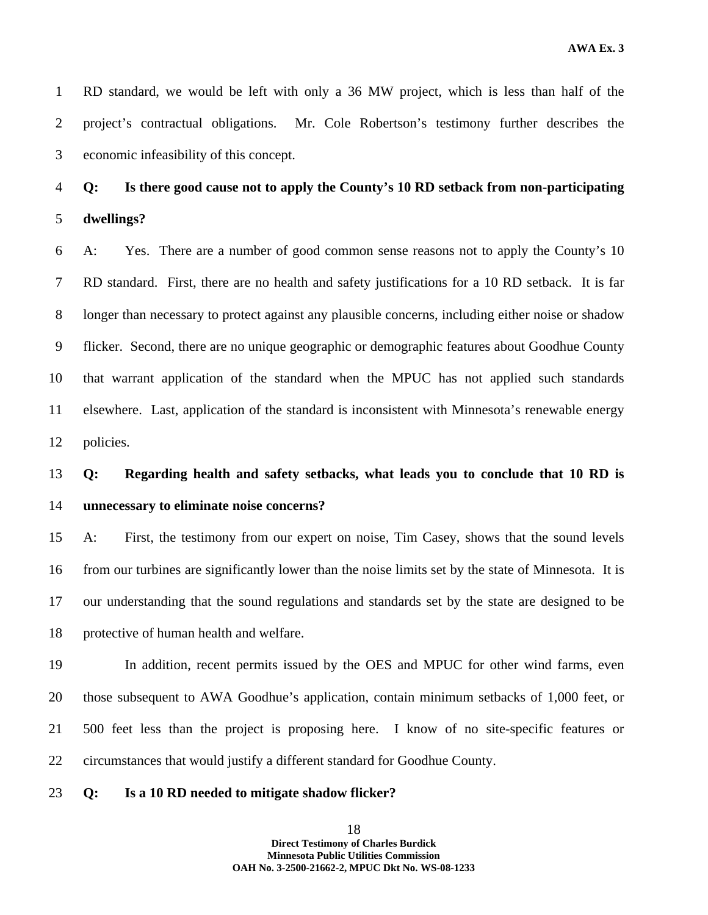1 RD standard, we would be left with only a 36 MW project, which is less than half of the 2 project's contractual obligations. Mr. Cole Robertson's testimony further describes the 3 economic infeasibility of this concept.

## 4 **Q: Is there good cause not to apply the County's 10 RD setback from non-participating**  5 **dwellings?**

6 A: Yes. There are a number of good common sense reasons not to apply the County's 10 7 RD standard. First, there are no health and safety justifications for a 10 RD setback. It is far 8 longer than necessary to protect against any plausible concerns, including either noise or shadow 9 flicker. Second, there are no unique geographic or demographic features about Goodhue County 10 that warrant application of the standard when the MPUC has not applied such standards 11 elsewhere. Last, application of the standard is inconsistent with Minnesota's renewable energy 12 policies.

### 13 **Q: Regarding health and safety setbacks, what leads you to conclude that 10 RD is**  14 **unnecessary to eliminate noise concerns?**

15 A: First, the testimony from our expert on noise, Tim Casey, shows that the sound levels 16 from our turbines are significantly lower than the noise limits set by the state of Minnesota. It is 17 our understanding that the sound regulations and standards set by the state are designed to be 18 protective of human health and welfare.

19 In addition, recent permits issued by the OES and MPUC for other wind farms, even 20 those subsequent to AWA Goodhue's application, contain minimum setbacks of 1,000 feet, or 21 500 feet less than the project is proposing here. I know of no site-specific features or 22 circumstances that would justify a different standard for Goodhue County.

#### 23 **Q: Is a 10 RD needed to mitigate shadow flicker?**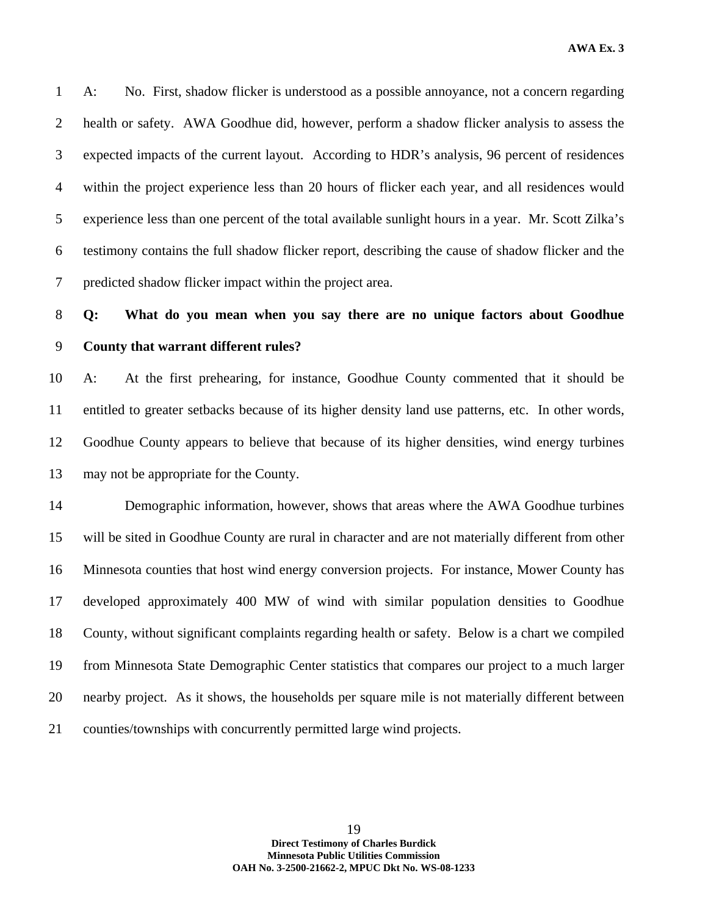**AWA Ex. 3** 

1 A: No. First, shadow flicker is understood as a possible annoyance, not a concern regarding 2 health or safety. AWA Goodhue did, however, perform a shadow flicker analysis to assess the 3 expected impacts of the current layout. According to HDR's analysis, 96 percent of residences 4 within the project experience less than 20 hours of flicker each year, and all residences would 5 experience less than one percent of the total available sunlight hours in a year. Mr. Scott Zilka's 6 testimony contains the full shadow flicker report, describing the cause of shadow flicker and the 7 predicted shadow flicker impact within the project area.

### 8 **Q: What do you mean when you say there are no unique factors about Goodhue**  9 **County that warrant different rules?**

10 A: At the first prehearing, for instance, Goodhue County commented that it should be 11 entitled to greater setbacks because of its higher density land use patterns, etc. In other words, 12 Goodhue County appears to believe that because of its higher densities, wind energy turbines 13 may not be appropriate for the County.

14 Demographic information, however, shows that areas where the AWA Goodhue turbines 15 will be sited in Goodhue County are rural in character and are not materially different from other 16 Minnesota counties that host wind energy conversion projects. For instance, Mower County has 17 developed approximately 400 MW of wind with similar population densities to Goodhue 18 County, without significant complaints regarding health or safety. Below is a chart we compiled 19 from Minnesota State Demographic Center statistics that compares our project to a much larger 20 nearby project. As it shows, the households per square mile is not materially different between 21 counties/townships with concurrently permitted large wind projects.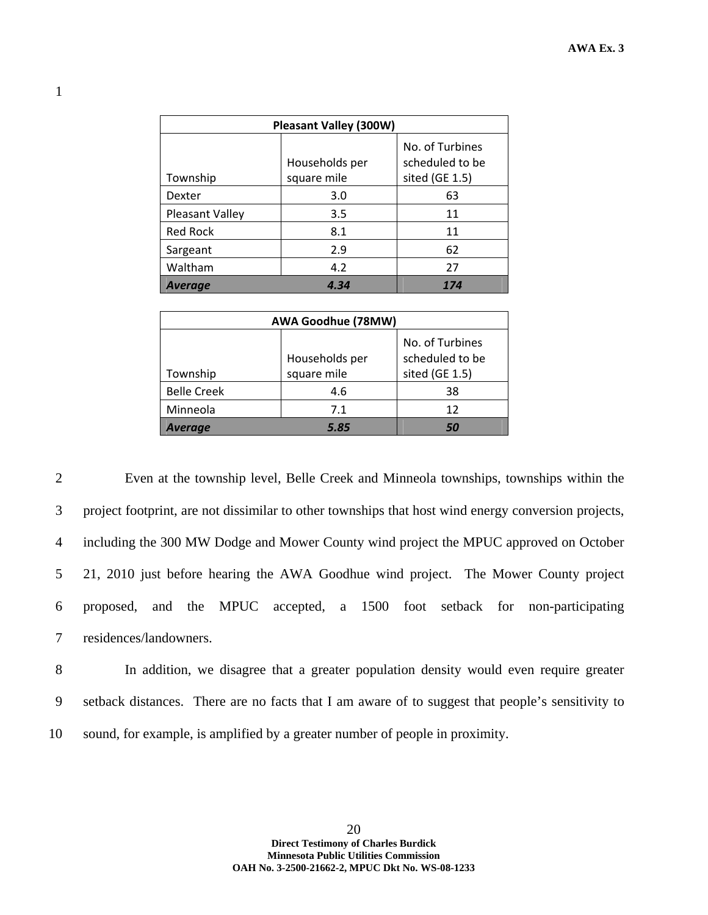| <b>Pleasant Valley (300W)</b> |                |                                    |  |  |
|-------------------------------|----------------|------------------------------------|--|--|
|                               | Households per | No. of Turbines<br>scheduled to be |  |  |
| Township                      | square mile    | sited (GE 1.5)                     |  |  |
| <b>Dexter</b>                 | 3.0            | 63                                 |  |  |
| Pleasant Valley               | 3.5            | 11                                 |  |  |
| <b>Red Rock</b>               | 8.1            | 11                                 |  |  |
| Sargeant                      | 2.9            | 62                                 |  |  |
| Waltham                       | 4.2            | 27                                 |  |  |
| <b>Average</b>                | 4.34           | 174                                |  |  |

| AWA Goodhue (78MW) |                               |                                                      |  |  |
|--------------------|-------------------------------|------------------------------------------------------|--|--|
| Township           | Households per<br>square mile | No. of Turbines<br>scheduled to be<br>sited (GE 1.5) |  |  |
| <b>Belle Creek</b> | 4.6                           | 38                                                   |  |  |
| Minneola           | 7.1                           | 12                                                   |  |  |
| <b>Average</b>     | 5.85                          | 50                                                   |  |  |

2 Even at the township level, Belle Creek and Minneola townships, townships within the 3 project footprint, are not dissimilar to other townships that host wind energy conversion projects, 4 including the 300 MW Dodge and Mower County wind project the MPUC approved on October 5 21, 2010 just before hearing the AWA Goodhue wind project. The Mower County project 6 proposed, and the MPUC accepted, a 1500 foot setback for non-participating 7 residences/landowners.

8 In addition, we disagree that a greater population density would even require greater 9 setback distances. There are no facts that I am aware of to suggest that people's sensitivity to 10 sound, for example, is amplified by a greater number of people in proximity.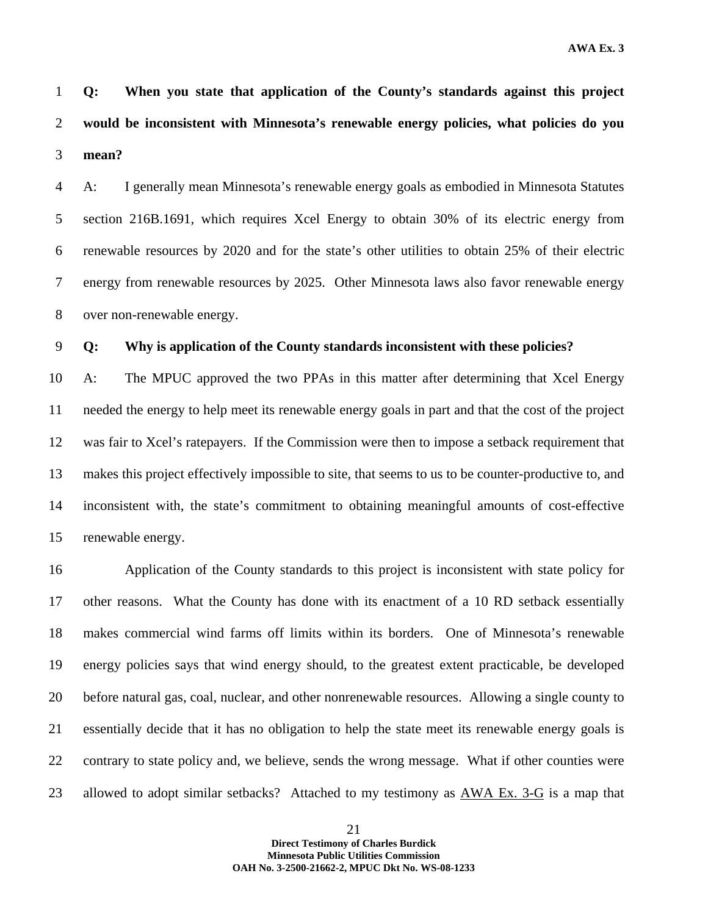1 **Q: When you state that application of the County's standards against this project**  2 **would be inconsistent with Minnesota's renewable energy policies, what policies do you**  3 **mean?** 

4 A: I generally mean Minnesota's renewable energy goals as embodied in Minnesota Statutes 5 section 216B.1691, which requires Xcel Energy to obtain 30% of its electric energy from 6 renewable resources by 2020 and for the state's other utilities to obtain 25% of their electric 7 energy from renewable resources by 2025. Other Minnesota laws also favor renewable energy 8 over non-renewable energy.

9 **Q: Why is application of the County standards inconsistent with these policies?** 

10 A: The MPUC approved the two PPAs in this matter after determining that Xcel Energy 11 needed the energy to help meet its renewable energy goals in part and that the cost of the project 12 was fair to Xcel's ratepayers. If the Commission were then to impose a setback requirement that 13 makes this project effectively impossible to site, that seems to us to be counter-productive to, and 14 inconsistent with, the state's commitment to obtaining meaningful amounts of cost-effective 15 renewable energy.

16 Application of the County standards to this project is inconsistent with state policy for 17 other reasons. What the County has done with its enactment of a 10 RD setback essentially 18 makes commercial wind farms off limits within its borders. One of Minnesota's renewable 19 energy policies says that wind energy should, to the greatest extent practicable, be developed 20 before natural gas, coal, nuclear, and other nonrenewable resources. Allowing a single county to 21 essentially decide that it has no obligation to help the state meet its renewable energy goals is 22 contrary to state policy and, we believe, sends the wrong message. What if other counties were 23 allowed to adopt similar setbacks? Attached to my testimony as AWA Ex. 3-G is a map that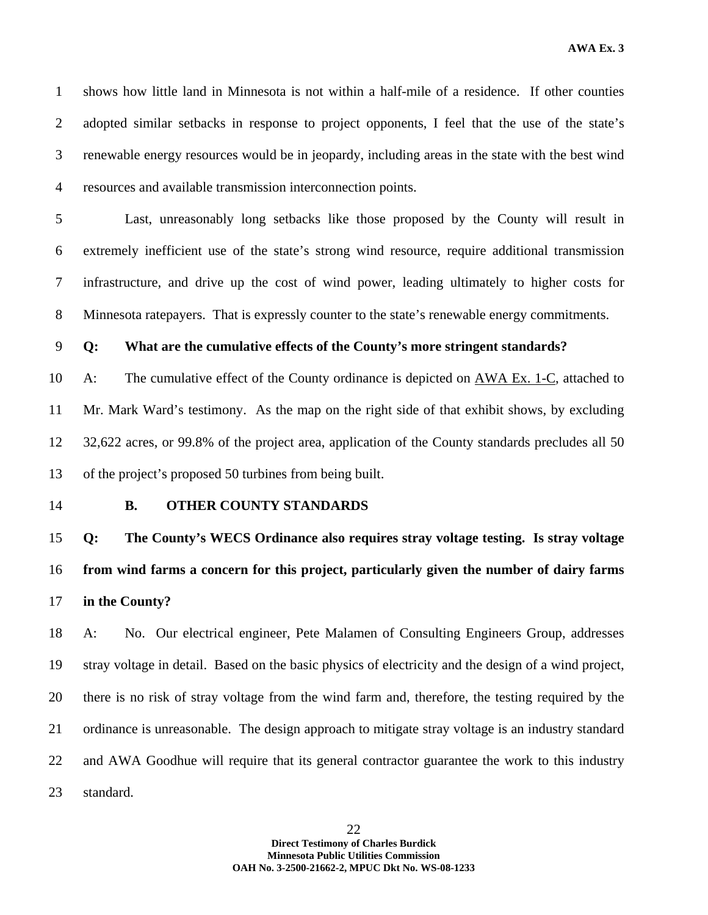1 shows how little land in Minnesota is not within a half-mile of a residence. If other counties 2 adopted similar setbacks in response to project opponents, I feel that the use of the state's 3 renewable energy resources would be in jeopardy, including areas in the state with the best wind 4 resources and available transmission interconnection points.

5 Last, unreasonably long setbacks like those proposed by the County will result in 6 extremely inefficient use of the state's strong wind resource, require additional transmission 7 infrastructure, and drive up the cost of wind power, leading ultimately to higher costs for 8 Minnesota ratepayers. That is expressly counter to the state's renewable energy commitments.

#### 9 **Q: What are the cumulative effects of the County's more stringent standards?**

10 A: The cumulative effect of the County ordinance is depicted on AWA Ex. 1-C, attached to 11 Mr. Mark Ward's testimony. As the map on the right side of that exhibit shows, by excluding 12 32,622 acres, or 99.8% of the project area, application of the County standards precludes all 50 13 of the project's proposed 50 turbines from being built.

#### 14 **B. OTHER COUNTY STANDARDS**

15 **Q: The County's WECS Ordinance also requires stray voltage testing. Is stray voltage**  16 **from wind farms a concern for this project, particularly given the number of dairy farms**  17 **in the County?** 

18 A: No. Our electrical engineer, Pete Malamen of Consulting Engineers Group, addresses 19 stray voltage in detail. Based on the basic physics of electricity and the design of a wind project, 20 there is no risk of stray voltage from the wind farm and, therefore, the testing required by the 21 ordinance is unreasonable. The design approach to mitigate stray voltage is an industry standard 22 and AWA Goodhue will require that its general contractor guarantee the work to this industry 23 standard.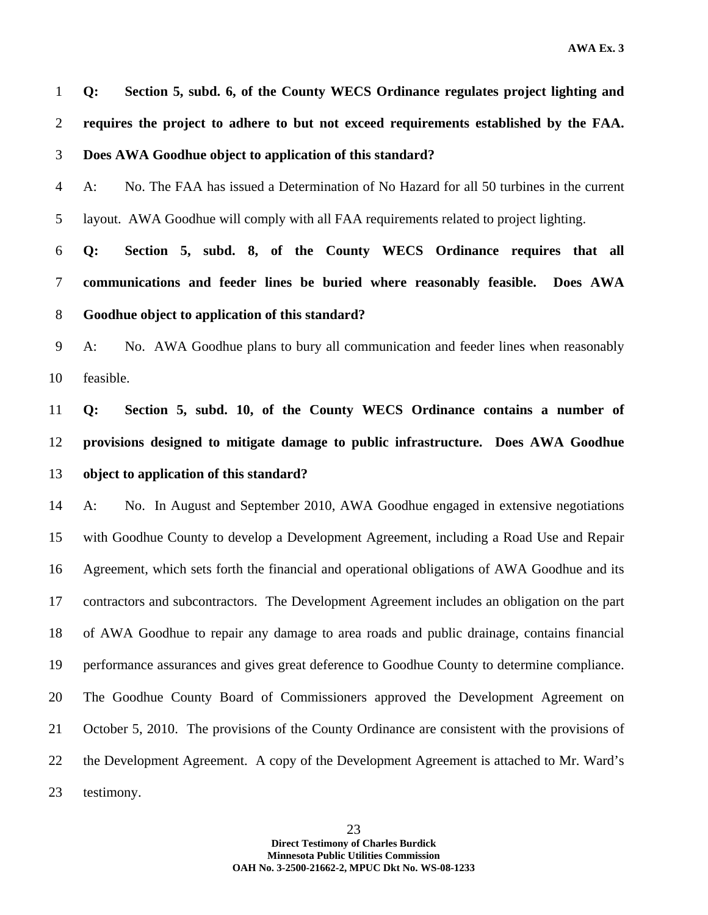1 **Q: Section 5, subd. 6, of the County WECS Ordinance regulates project lighting and**  2 **requires the project to adhere to but not exceed requirements established by the FAA.**  3 **Does AWA Goodhue object to application of this standard?** 

4 A: No. The FAA has issued a Determination of No Hazard for all 50 turbines in the current 5 layout. AWA Goodhue will comply with all FAA requirements related to project lighting.

6 **Q: Section 5, subd. 8, of the County WECS Ordinance requires that all**  7 **communications and feeder lines be buried where reasonably feasible. Does AWA**  8 **Goodhue object to application of this standard?** 

9 A: No. AWA Goodhue plans to bury all communication and feeder lines when reasonably 10 feasible.

11 **Q: Section 5, subd. 10, of the County WECS Ordinance contains a number of**  12 **provisions designed to mitigate damage to public infrastructure. Does AWA Goodhue**  13 **object to application of this standard?** 

14 A: No. In August and September 2010, AWA Goodhue engaged in extensive negotiations 15 with Goodhue County to develop a Development Agreement, including a Road Use and Repair 16 Agreement, which sets forth the financial and operational obligations of AWA Goodhue and its 17 contractors and subcontractors. The Development Agreement includes an obligation on the part 18 of AWA Goodhue to repair any damage to area roads and public drainage, contains financial 19 performance assurances and gives great deference to Goodhue County to determine compliance. 20 The Goodhue County Board of Commissioners approved the Development Agreement on 21 October 5, 2010. The provisions of the County Ordinance are consistent with the provisions of 22 the Development Agreement. A copy of the Development Agreement is attached to Mr. Ward's 23 testimony.